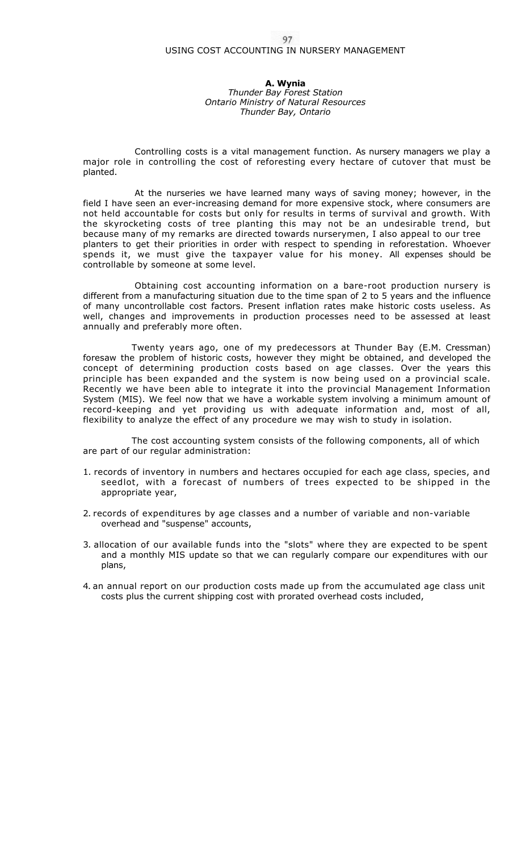## 97<br>USING COST ACCOUNTING IN NURSERY MANAGEMENT

**A. Wynia**  *Thunder Bay Forest Station Ontario Ministry of Natural Resources Thunder Bay, Ontario* 

Controlling costs is a vital management function. As nursery managers we play a major role in controlling the cost of reforesting every hectare of cutover that must be planted.

At the nurseries we have learned many ways of saving money; however, in the field I have seen an ever-increasing demand for more expensive stock, where consumers are not held accountable for costs but only for results in terms of survival and growth. With the skyrocketing costs of tree planting this may not be an undesirable trend, but because many of my remarks are directed towards nurserymen, I also appeal to our tree planters to get their priorities in order with respect to spending in reforestation. Whoever spends it, we must give the taxpayer value for his money. All expenses should be controllable by someone at some level.

Obtaining cost accounting information on a bare-root production nursery is different from a manufacturing situation due to the time span of 2 to 5 years and the influence of many uncontrollable cost factors. Present inflation rates make historic costs useless. As well, changes and improvements in production processes need to be assessed at least annually and preferably more often.

Twenty years ago, one of my predecessors at Thunder Bay (E.M. Cressman) foresaw the problem of historic costs, however they might be obtained, and developed the concept of determining production costs based on age classes. Over the years this principle has been expanded and the system is now being used on a provincial scale. Recently we have been able to integrate it into the provincial Management Information System (MIS). We feel now that we have a workable system involving a minimum amount of record-keeping and yet providing us with adequate information and, most of all, flexibility to analyze the effect of any procedure we may wish to study in isolation.

The cost accounting system consists of the following components, all of which are part of our regular administration:

- 1. records of inventory in numbers and hectares occupied for each age class, species, and seedlot, with a forecast of numbers of trees expected to be shipped in the appropriate year,
- 2. records of expenditures by age classes and a number of variable and non-variable overhead and "suspense" accounts,
- 3. allocation of our available funds into the "slots" where they are expected to be spent and a monthly MIS update so that we can regularly compare our expenditures with our plans,
- 4. an annual report on our production costs made up from the accumulated age class unit costs plus the current shipping cost with prorated overhead costs included,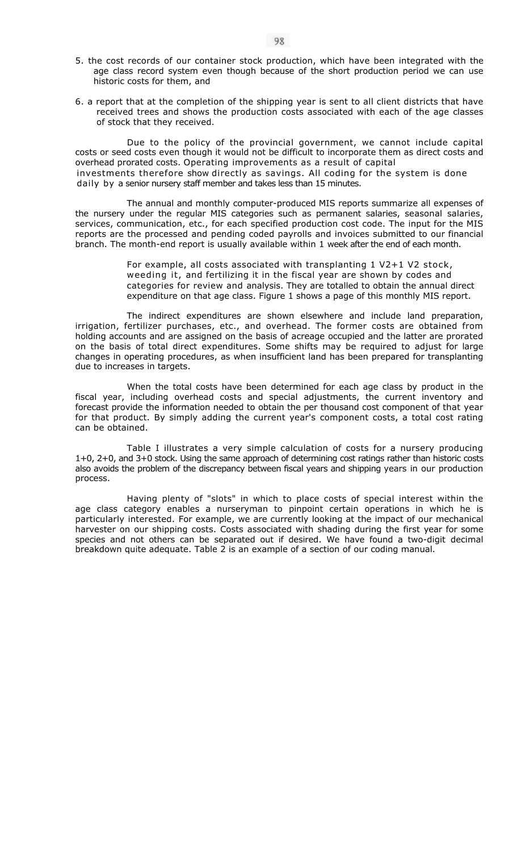- 5. the cost records of our container stock production, which have been integrated with the age class record system even though because of the short production period we can use historic costs for them, and
- 6. a report that at the completion of the shipping year is sent to all client districts that have received trees and shows the production costs associated with each of the age classes of stock that they received.

Due to the policy of the provincial government, we cannot include capital costs or seed costs even though it would not be difficult to incorporate them as direct costs and overhead prorated costs. Operating improvements as a result of capital investments therefore show directly as savings. All coding for the system is done daily by a senior nursery staff member and takes less than 15 minutes.

The annual and monthly computer-produced MIS reports summarize all expenses of the nursery under the regular MIS categories such as permanent salaries, seasonal salaries, services, communication, etc., for each specified production cost code. The input for the MIS reports are the processed and pending coded payrolls and invoices submitted to our financial branch. The month-end report is usually available within 1 week after the end of each month.

> For example, all costs associated with transplanting 1 V2+1 V2 stock, weeding it, and fertilizing it in the fiscal year are shown by codes and categories for review and analysis. They are totalled to obtain the annual direct expenditure on that age class. Figure 1 shows a page of this monthly MIS report.

The indirect expenditures are shown elsewhere and include land preparation, irrigation, fertilizer purchases, etc., and overhead. The former costs are obtained from holding accounts and are assigned on the basis of acreage occupied and the latter are prorated on the basis of total direct expenditures. Some shifts may be required to adjust for large changes in operating procedures, as when insufficient land has been prepared for transplanting due to increases in targets.

When the total costs have been determined for each age class by product in the fiscal year, including overhead costs and special adjustments, the current inventory and forecast provide the information needed to obtain the per thousand cost component of that year for that product. By simply adding the current year's component costs, a total cost rating can be obtained.

Table I illustrates a very simple calculation of costs for a nursery producing 1+0, 2+0, and 3+0 stock. Using the same approach of determining cost ratings rather than historic costs also avoids the problem of the discrepancy between fiscal years and shipping years in our production process.

Having plenty of "slots" in which to place costs of special interest within the age class category enables a nurseryman to pinpoint certain operations in which he is particularly interested. For example, we are currently looking at the impact of our mechanical harvester on our shipping costs. Costs associated with shading during the first year for some species and not others can be separated out if desired. We have found a two-digit decimal breakdown quite adequate. Table 2 is an example of a section of our coding manual.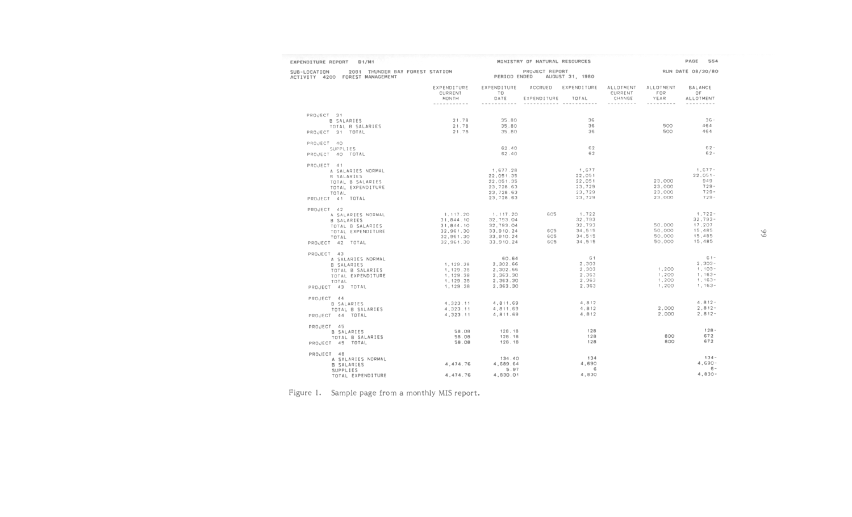| EXPENDITURE REPORT<br>D1/M1                                                        |                        |                        | MINISTRY OF NATURAL RESOURCES     |                               |                   |                  | PAGE<br>554            |
|------------------------------------------------------------------------------------|------------------------|------------------------|-----------------------------------|-------------------------------|-------------------|------------------|------------------------|
| 2081 THUNDER BAY FOREST STATION<br>SUB-LOCATION<br>ACTIVITY 4200 FOREST MANAGEMENT |                        | PERIOD ENDED           | PROJECT REPORT<br>AUGUST 31, 1980 | RUN DATE 08/30/80             |                   |                  |                        |
|                                                                                    | EXPENDITURE<br>CURRENT | EXPENDITURE<br>T O     |                                   | ACCRUED EXPENDITURE ALLOTMENT | CURRENT           | ALLOTMENT<br>FOR | <b>BALANCE</b><br>OF   |
|                                                                                    | MONTH<br>-----------   | DATE                   | EXPENDITURE                       | TOTAL                         | CHANGE<br>------- | YEAR<br>-------- | ALLOTMENT              |
| PROJECT 31                                                                         |                        |                        |                                   |                               |                   |                  |                        |
| B SALARIES                                                                         | 21.78                  | 35.80                  |                                   | 36<br>36                      |                   | 500              | $36 -$<br>464          |
| TOTAL B SALARIES<br>PROJECT 31 TOTAL                                               | 21.78<br>21.78         | 35.80<br>35.80         |                                   | 36                            |                   | 500              | 464                    |
|                                                                                    |                        |                        |                                   |                               |                   |                  |                        |
| PROJECT 40<br>SUPPLIES                                                             |                        | 62.40                  |                                   | 62                            |                   |                  | $62 -$                 |
| PROJECT 40 TOTAL                                                                   |                        | 62.40                  |                                   | 62                            |                   |                  | $62 -$                 |
| PROJECT 41                                                                         |                        |                        |                                   |                               |                   |                  |                        |
| A SALARIES NORMAL                                                                  |                        | 1,677.28               |                                   | 1,677                         |                   |                  | $1,677-$               |
| B SALARIES                                                                         |                        | 22,051.35              |                                   | 22,051                        |                   |                  | $22.051 -$<br>949      |
| TOTAL B SALARIES                                                                   |                        | 22,051.35<br>23,728.63 |                                   | 22,051<br>23,729              |                   | 23,000<br>23,000 | $729 -$                |
| TOTAL EXPENDITURE<br>TOTAL                                                         |                        | 23,728.63              |                                   | 23,729                        |                   | 23,000           | $729 -$                |
| PROJECT 41 TOTAL                                                                   |                        | 23,728.63              |                                   | 23.729                        |                   | 23,000           | $729 -$                |
| PROJECT 42                                                                         |                        |                        |                                   |                               |                   |                  |                        |
| A SALARIES NORMAL                                                                  | 1, 117.20              | 1, 117.20              | 605                               | 1,722                         |                   |                  | $1,722-$               |
| B SALARIES                                                                         | 31,844.10              | 32,793.04              |                                   | 32,793                        |                   |                  | $32,793-$              |
| TOTAL B SALARIES                                                                   | 31,844.10              | 32,793.04              |                                   | 32.793                        |                   | 50,000           | 17,207<br>15,485       |
| TOTAL EXPENDITURE                                                                  | 32,961.30<br>32,961.30 | 33,910.24<br>33,910.24 | 605<br>605                        | 34,515<br>34.515              |                   | 50,000<br>50,000 | 15,485                 |
| TOTAL<br>PROJECT 42 TOTAL                                                          | 32,961.30              | 33.910.24              | 605                               | 34.515                        |                   | 50,000           | 15,485                 |
|                                                                                    |                        |                        |                                   |                               |                   |                  |                        |
| PROJECT 43                                                                         |                        | 60.64                  |                                   | 61                            |                   |                  | $61 -$                 |
| A SALARIES NORMAL<br>B SALARIES                                                    | 1,129.38               | 2,302.66               |                                   | 2,303                         |                   |                  | $2.303 -$              |
| TOTAL B SALARIES                                                                   | 1,129.38               | 2,302.66               |                                   | 2,303                         |                   | 1,200            | $1,103-$               |
| TOTAL EXPENDITURE                                                                  | 1,129.38               | 2,363.30               |                                   | 2.363                         |                   | 1,200            | $1.163 -$              |
| TOTAL                                                                              | 1,129.38               | 2,363.30               |                                   | 2,363                         |                   | 1,200            | $1,163-$               |
| PROJECT 43 TOTAL                                                                   | 1,129.38               | 2,363.30               |                                   | 2,363                         |                   | 1,200            | $1,163-$               |
| PROJECT 44                                                                         |                        |                        |                                   |                               |                   |                  |                        |
| B SALARIES                                                                         | 4,323.11               | 4,811.69               |                                   | 4.812                         |                   |                  | $4.812 -$              |
| TOTAL B SALARIES                                                                   | 4,323.11               | 4,811.69               |                                   | 4,812                         |                   | 2,000            | $2.812 -$<br>$2.812 -$ |
| PROJECT 44 TOTAL                                                                   | 4.323.11               | 4.811.69               |                                   | 4,812                         |                   | 2,000            |                        |
| PROJECT 45                                                                         | 58.08                  | 128.18                 |                                   | 128                           |                   |                  | $128 -$                |
| B SALARIES<br>TOTAL B SALARIES                                                     | 58.08                  | 128.18                 |                                   | 128                           |                   | 800              | 672                    |
| PROJECT 45 TOTAL                                                                   | 58.08                  | 128.18                 |                                   | 12B                           |                   | 800              | 672                    |
| PROJECT 48                                                                         |                        |                        |                                   |                               |                   |                  |                        |
| A SALARIES NORMAL                                                                  |                        | 134.40                 |                                   | 134                           |                   |                  | $134 -$                |
| <b>B SALARIES</b>                                                                  | 4.474.76               | 4.689.64               |                                   | 4,690                         |                   |                  | $4.690 -$              |
| SUPPLIES                                                                           |                        | 5.97                   |                                   | 6                             |                   |                  | $6 -$<br>$4.830 -$     |
| TOTAL EXPENDITURE                                                                  | 4.474.76               | 4.830.01               |                                   | 4,830                         |                   |                  |                        |

Figure 1. Sample page from a monthly MIS report.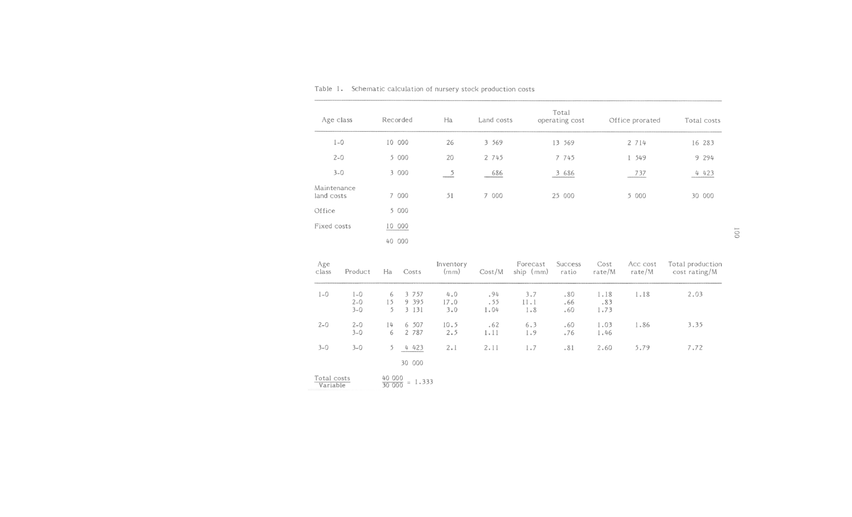| Age class                 | Recorded | Ha                        | Land costs | Total<br>operating cost | Office prorated | Total costs |
|---------------------------|----------|---------------------------|------------|-------------------------|-----------------|-------------|
| $1 - 0$                   | 10 000   | 26                        | 3 5 6 9    | 13 569                  | 2 7 1 4         | 16 283      |
| $2 - 0$                   | 5 000    | 20                        | 2 745      | 7 745                   | 1 549           | 9 294       |
| $3 - 0$                   | 3 000    | $\overline{\phantom{0}5}$ | 686        | 3 686                   | 737             | 4 423       |
| Maintenance<br>land costs | 7 000    | 51                        | 7 000      | 25 000                  | 5 000           | 30 000      |
| Office                    | 5 000    |                           |            |                         |                 |             |
| Fixed costs               | 10 000   |                           |            |                         |                 |             |
|                           | 40 000   |                           |            |                         |                 |             |

Table 1. Schematic calculation of nursery stock production costs

| Age<br>class            | Product                     | Ha           | Costs                         | Inventory<br>(mm)  | Cost/M             | Forecast<br>ship $(mm)$ | Success<br>ratio  | Cost<br>rate/M      | Acc cost<br>rate/M | Total production<br>cost rating/M |
|-------------------------|-----------------------------|--------------|-------------------------------|--------------------|--------------------|-------------------------|-------------------|---------------------|--------------------|-----------------------------------|
| $1-0$                   | $1-0$<br>$2 - 0$<br>$3 - 0$ | 6<br>15<br>5 | 3 7 5 7<br>9 3 9 5<br>3 1 3 1 | 4.0<br>17.0<br>3.0 | .94<br>.55<br>1.04 | 3.7<br>11.1<br>1.8      | .80<br>.66<br>.60 | 1.18<br>.83<br>1.73 | 1.18               | 2.03                              |
| $2 - 0$                 | $2 - 0$<br>$3 - 0$          | 14<br>6      | 6 507<br>2 787                | 10.5<br>2.5        | .62<br>1.11        | 6.3<br>1.9              | .60<br>.76        | 1.03<br>1.46        | 1.86               | 3.35                              |
| $3 - 0$                 | $3 - 0$                     | 5            | 4 4 2 3<br>30 000             | 2.1                | 2.11               | 1.7                     | .81               | 2.60                | 5.79               | 7.72                              |
| Total costs<br>Variable |                             | 40 000       | $\frac{1}{30000}$ = 1.333     |                    |                    |                         |                   |                     |                    |                                   |